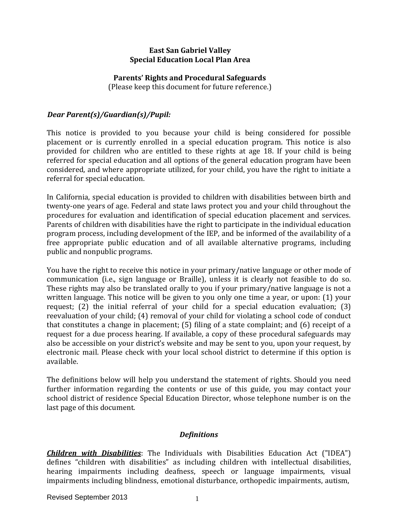#### **East San Gabriel Valley Special Education Local Plan Area**

#### **Parents' Rights and Procedural Safeguards**

(Please keep this document for future reference.)

### *Dear Parent(s)/Guardian(s)/Pupil:*

This notice is provided to you because your child is being considered for possible placement or is currently enrolled in a special education program. This notice is also provided for children who are entitled to these rights at age 18. If your child is being referred for special education and all options of the general education program have been considered, and where appropriate utilized, for your child, you have the right to initiate a referral for special education.

In California, special education is provided to children with disabilities between birth and twenty-one years of age. Federal and state laws protect you and your child throughout the procedures for evaluation and identification of special education placement and services. Parents of children with disabilities have the right to participate in the individual education program process, including development of the IEP, and be informed of the availability of a free appropriate public education and of all available alternative programs, including public and nonpublic programs.

You have the right to receive this notice in your primary/native language or other mode of communication (i.e., sign language or Braille), unless it is clearly not feasible to do so. These rights may also be translated orally to you if your primary/native language is not a written language. This notice will be given to you only one time a year, or upon: (1) your request; (2) the initial referral of your child for a special education evaluation; (3) reevaluation of your child; (4) removal of your child for violating a school code of conduct that constitutes a change in placement; (5) filing of a state complaint; and (6) receipt of a request for a due process hearing. If available, a copy of these procedural safeguards may also be accessible on your district's website and may be sent to you, upon your request, by electronic mail. Please check with your local school district to determine if this option is available.

The definitions below will help you understand the statement of rights. Should you need further information regarding the contents or use of this guide, you may contact your school district of residence Special Education Director, whose telephone number is on the last page of this document.

#### *Definitions*

*Children with Disabilities*: The Individuals with Disabilities Education Act ("IDEA") defines "children with disabilities" as including children with intellectual disabilities, hearing impairments including deafness, speech or language impairments, visual impairments including blindness, emotional disturbance, orthopedic impairments, autism,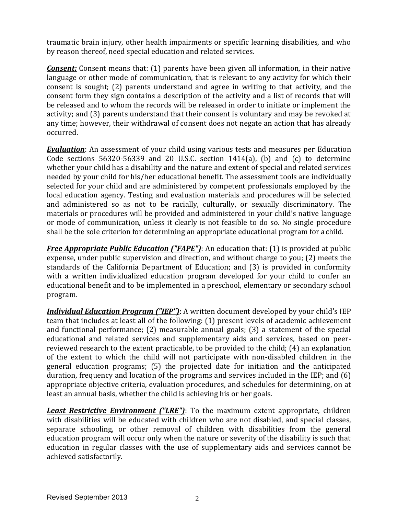traumatic brain injury, other health impairments or specific learning disabilities, and who by reason thereof, need special education and related services.

*Consent:* Consent means that: (1) parents have been given all information, in their native language or other mode of communication, that is relevant to any activity for which their consent is sought; (2) parents understand and agree in writing to that activity, and the consent form they sign contains a description of the activity and a list of records that will be released and to whom the records will be released in order to initiate or implement the activity; and (3) parents understand that their consent is voluntary and may be revoked at any time; however, their withdrawal of consent does not negate an action that has already occurred.

*Evaluation*: An assessment of your child using various tests and measures per Education Code sections 56320-56339 and 20 U.S.C. section 1414(a), (b) and (c) to determine whether your child has a disability and the nature and extent of special and related services needed by your child for his/her educational benefit. The assessment tools are individually selected for your child and are administered by competent professionals employed by the local education agency. Testing and evaluation materials and procedures will be selected and administered so as not to be racially, culturally, or sexually discriminatory. The materials or procedures will be provided and administered in your child's native language or mode of communication, unless it clearly is not feasible to do so. No single procedure shall be the sole criterion for determining an appropriate educational program for achild.

*Free Appropriate Public Education ("FAPE")*: An education that: (1) is provided at public expense, under public supervision and direction, and without charge to you; (2) meets the standards of the California Department of Education; and (3) is provided in conformity with a written individualized education program developed for your child to confer an educational benefit and to be implemented in a preschool, elementary or secondary school program.

*Individual Education Program ("IEP")*: A written document developed by your child's IEP team that includes at least all of the following: (1) present levels of academic achievement and functional performance; (2) measurable annual goals; (3) a statement of the special educational and related services and supplementary aids and services, based on peerreviewed research to the extent practicable, to be provided to the child; (4) an explanation of the extent to which the child will not participate with non-disabled children in the general education programs; (5) the projected date for initiation and the anticipated duration, frequency and location of the programs and services included in the IEP; and (6) appropriate objective criteria, evaluation procedures, and schedules for determining, on at least an annual basis, whether the child is achieving his or her goals.

*Least Restrictive Environment ("LRE")*: To the maximum extent appropriate, children with disabilities will be educated with children who are not disabled, and special classes, separate schooling, or other removal of children with disabilities from the general education program will occur only when the nature or severity of the disability is such that education in regular classes with the use of supplementary aids and services cannot be achieved satisfactorily.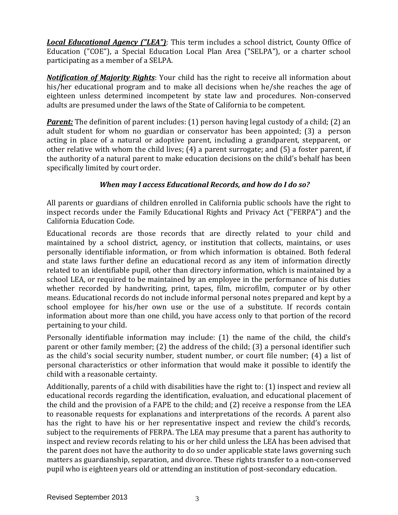*Local Educational Agency ("LEA")*: This term includes a school district, County Office of Education ("COE"), a Special Education Local Plan Area ("SELPA"), or a charter school participating as a member of a SELPA.

*Notification of Majority Rights*: Your child has the right to receive all information about his/her educational program and to make all decisions when he/she reaches the age of eighteen unless determined incompetent by state law and procedures. Non-conserved adults are presumed under the laws of the State of California to be competent.

*Parent:* The definition of parent includes: (1) person having legal custody of a child; (2) an adult student for whom no guardian or conservator has been appointed; (3) a person acting in place of a natural or adoptive parent, including a grandparent, stepparent, or other relative with whom the child lives; (4) a parent surrogate; and (5) a foster parent, if the authority of a natural parent to make education decisions on the child's behalf has been specifically limited by court order.

# *When may I access Educational Records, and how do I do so?*

All parents or guardians of children enrolled in California public schools have the right to inspect records under the Family Educational Rights and Privacy Act ("FERPA") and the California Education Code.

Educational records are those records that are directly related to your child and maintained by a school district, agency, or institution that collects, maintains, or uses personally identifiable information, or from which information is obtained. Both federal and state laws further define an educational record as any item of information directly related to an identifiable pupil, other than directory information, which is maintained by a school LEA, or required to be maintained by an employee in the performance of his duties whether recorded by handwriting, print, tapes, film, microfilm, computer or by other means. Educational records do not include informal personal notes prepared and kept by a school employee for his/her own use or the use of a substitute. If records contain information about more than one child, you have access only to that portion of the record pertaining to your child.

Personally identifiable information may include: (1) the name of the child, the child's parent or other family member; (2) the address of the child; (3) a personal identifier such as the child's social security number, student number, or court file number; (4) a list of personal characteristics or other information that would make it possible to identify the child with a reasonable certainty.

Additionally, parents of a child with disabilities have the right to: (1) inspect and review all educational records regarding the identification, evaluation, and educational placement of the child and the provision of a FAPE to the child; and (2) receive a response from the LEA to reasonable requests for explanations and interpretations of the records. A parent also has the right to have his or her representative inspect and review the child's records, subject to the requirements of FERPA. The LEA may presume that a parent has authority to inspect and review records relating to his or her child unless the LEA has been advised that the parent does not have the authority to do so under applicable state laws governing such matters as guardianship, separation, and divorce. These rights transfer to a non-conserved pupil who is eighteen years old or attending an institution of post-secondary education.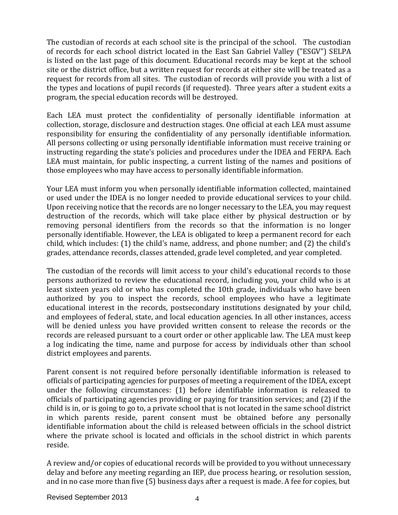The custodian of records at each school site is the principal of the school. The custodian of records for each school district located in the East San Gabriel Valley ("ESGV") SELPA is listed on the last page of this document. Educational records may be kept at the school site or the district office, but a written request for records at either site will be treated as a request for records from all sites. The custodian of records will provide you with a list of the types and locations of pupil records (if requested). Three years after a student exits a program, the special education records will be destroyed.

Each LEA must protect the confidentiality of personally identifiable information at collection, storage, disclosure and destruction stages. One official at each LEA must assume responsibility for ensuring the confidentiality of any personally identifiable information. All persons collecting or using personally identifiable information must receive training or instructing regarding the state's policies and procedures under the IDEA and FERPA. Each LEA must maintain, for public inspecting, a current listing of the names and positions of those employees who may have access to personally identifiable information.

Your LEA must inform you when personally identifiable information collected, maintained or used under the IDEA is no longer needed to provide educational services to your child. Upon receiving notice that the records are no longer necessary to the LEA, you may request destruction of the records, which will take place either by physical destruction or by removing personal identifiers from the records so that the information is no longer personally identifiable. However, the LEA is obligated to keep a permanent record for each child, which includes: (1) the child's name, address, and phone number; and (2) the child's grades, attendance records, classes attended, grade level completed, and year completed.

The custodian of the records will limit access to your child's educational records to those persons authorized to review the educational record, including you, your child who is at least sixteen years old or who has completed the 10th grade, individuals who have been authorized by you to inspect the records, school employees who have a legitimate educational interest in the records, postsecondary institutions designated by your child, and employees of federal, state, and local education agencies. In all other instances, access will be denied unless you have provided written consent to release the records or the records are released pursuant to a court order or other applicable law. The LEA must keep a log indicating the time, name and purpose for access by individuals other than school district employees and parents.

Parent consent is not required before personally identifiable information is released to officials of participating agencies for purposes of meeting a requirement of the IDEA, except under the following circumstances: (1) before identifiable information is released to officials of participating agencies providing or paying for transition services; and (2) if the child is in, or is going to go to, a private school that is not located in the same school district in which parents reside, parent consent must be obtained before any personally identifiable information about the child is released between officials in the school district where the private school is located and officials in the school district in which parents reside.

A review and/or copies of educational records will be provided to you without unnecessary delay and before any meeting regarding an IEP, due process hearing, or resolution session, and in no case more than five (5) business days after a request is made. A fee for copies, but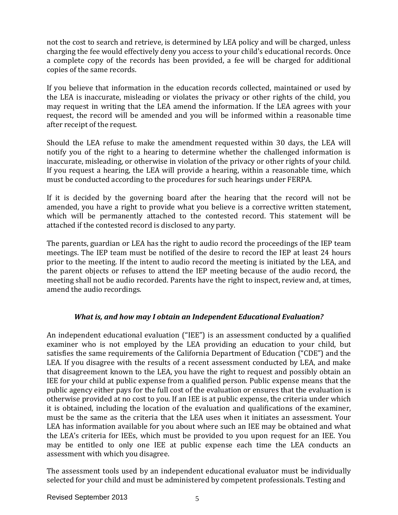not the cost to search and retrieve, is determined by LEA policy and will be charged, unless charging the fee would effectively deny you access to your child's educational records. Once a complete copy of the records has been provided, a fee will be charged for additional copies of the same records.

If you believe that information in the education records collected, maintained or used by the LEA is inaccurate, misleading or violates the privacy or other rights of the child, you may request in writing that the LEA amend the information. If the LEA agrees with your request, the record will be amended and you will be informed within a reasonable time after receipt of the request.

Should the LEA refuse to make the amendment requested within 30 days, the LEA will notify you of the right to a hearing to determine whether the challenged information is inaccurate, misleading, or otherwise in violation of the privacy or other rights of your child. If you request a hearing, the LEA will provide a hearing, within a reasonable time, which must be conducted according to the procedures for such hearings under FERPA.

If it is decided by the governing board after the hearing that the record will not be amended, you have a right to provide what you believe is a corrective written statement, which will be permanently attached to the contested record. This statement will be attached if the contested record is disclosed to any party.

The parents, guardian or LEA has the right to audio record the proceedings of the IEP team meetings. The IEP team must be notified of the desire to record the IEP at least 24 hours prior to the meeting. If the intent to audio record the meeting is initiated by the LEA, and the parent objects or refuses to attend the IEP meeting because of the audio record, the meeting shall not be audio recorded. Parents have the right to inspect, review and, at times, amend the audio recordings.

# *What is, and how may I obtain an Independent Educational Evaluation?*

An independent educational evaluation ("IEE") is an assessment conducted by a qualified examiner who is not employed by the LEA providing an education to your child, but satisfies the same requirements of the California Department of Education ("CDE") and the LEA. If you disagree with the results of a recent assessment conducted by LEA, and make that disagreement known to the LEA, you have the right to request and possibly obtain an IEE for your child at public expense from a qualified person. Public expense means that the public agency either pays for the full cost of the evaluation or ensures that the evaluation is otherwise provided at no cost to you. If an IEE is at public expense, the criteria under which it is obtained, including the location of the evaluation and qualifications of the examiner, must be the same as the criteria that the LEA uses when it initiates an assessment. Your LEA has information available for you about where such an IEE may be obtained and what the LEA's criteria for IEEs, which must be provided to you upon request for an IEE. You may be entitled to only one IEE at public expense each time the LEA conducts an assessment with which you disagree.

The assessment tools used by an independent educational evaluator must be individually selected for your child and must be administered by competent professionals. Testing and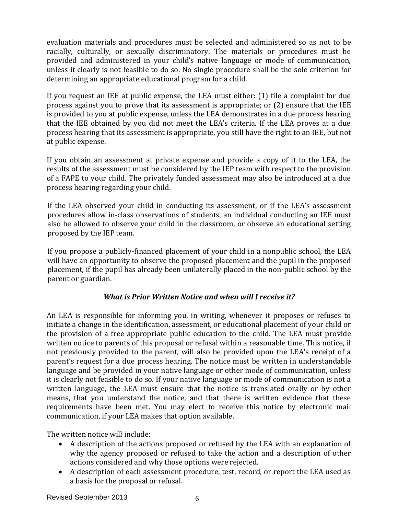evaluation materials and procedures must be selected and administered so as not to be racially, culturally, or sexually discriminatory. The materials or procedures must be provided and administered in your child's native language or mode of communication, unless it clearly is not feasible to do so. No single procedure shall be the sole criterion for determining an appropriate educational program for a child.

If you request an IEE at public expense, the LEA must either: (1) file a complaint for due process against you to prove that its assessment is appropriate; or (2) ensure that the IEE is provided to you at public expense, unless the LEA demonstrates in a due process hearing that the IEE obtained by you did not meet the LEA's criteria. If the LEA proves at a due process hearing that its assessment is appropriate, you still have the right to an IEE, but not at public expense.

If you obtain an assessment at private expense and provide a copy of it to the LEA, the results of the assessment must be considered by the IEP team with respect to the provision of a FAPE to your child. The privately funded assessment may also be introduced at a due process hearing regarding your child.

If the LEA observed your child in conducting its assessment, or if the LEA's assessment procedures allow in-class observations of students, an individual conducting an IEE must also be allowed to observe your child in the classroom, or observe an educational setting proposed by the IEP team.

If you propose a publicly-financed placement of your child in a nonpublic school, the LEA will have an opportunity to observe the proposed placement and the pupil in the proposed placement, if the pupil has already been unilaterally placed in the non-public school by the parent or guardian.

# *What is Prior Written Notice and when will I receive it?*

An LEA is responsible for informing you, in writing, whenever it proposes or refuses to initiate a change in the identification, assessment, or educational placement of your child or the provision of a free appropriate public education to the child. The LEA must provide written notice to parents of this proposal or refusal within a reasonable time. This notice, if not previously provided to the parent, will also be provided upon the LEA's receipt of a parent's request for a due process hearing. The notice must be written in understandable language and be provided in your native language or other mode of communication, unless it is clearly not feasible to do so. If your native language or mode of communication is not a written language, the LEA must ensure that the notice is translated orally or by other means, that you understand the notice, and that there is written evidence that these requirements have been met. You may elect to receive this notice by electronic mail communication, if your LEA makes that option available.

The written notice will include:

- A description of the actions proposed or refused by the LEA with an explanation of why the agency proposed or refused to take the action and a description of other actions considered and why those options were rejected.
- A description of each assessment procedure, test, record, or report the LEA used as a basis for the proposal or refusal.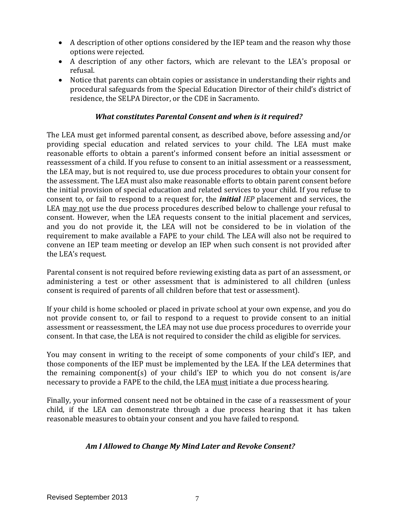- A description of other options considered by the IEP team and the reason why those options were rejected.
- A description of any other factors, which are relevant to the LEA's proposal or refusal.
- Notice that parents can obtain copies or assistance in understanding their rights and procedural safeguards from the Special Education Director of their child's district of residence, the SELPA Director, or the CDE in Sacramento.

#### *What constitutes Parental Consent and when is it required?*

The LEA must get informed parental consent, as described above, before assessing and/or providing special education and related services to your child. The LEA must make reasonable efforts to obtain a parent's informed consent before an initial assessment or reassessment of a child. If you refuse to consent to an initial assessment or a reassessment, the LEA may, but is not required to, use due process procedures to obtain your consent for the assessment. The LEA must also make reasonable efforts to obtain parent consent before the initial provision of special education and related services to your child. If you refuse to consent to, or fail to respond to a request for, the *initial IEP* placement and services, the LEA may not use the due process procedures described below to challenge your refusal to consent. However, when the LEA requests consent to the initial placement and services, and you do not provide it, the LEA will not be considered to be in violation of the requirement to make available a FAPE to your child. The LEA will also not be required to convene an IEP team meeting or develop an IEP when such consent is not provided after the LEA's request.

Parental consent is not required before reviewing existing data as part of an assessment, or administering a test or other assessment that is administered to all children (unless consent is required of parents of all children before that test or assessment).

If your child is home schooled or placed in private school at your own expense, and you do not provide consent to, or fail to respond to a request to provide consent to an initial assessment or reassessment, the LEA may not use due process procedures to override your consent. In that case, the LEA is not required to consider the child as eligible for services.

You may consent in writing to the receipt of some components of your child's IEP, and those components of the IEP must be implemented by the LEA. If the LEA determines that the remaining component(s) of your child's IEP to which you do not consent is/are necessary to provide a FAPE to the child, the LEA must initiate a due process hearing.

Finally, your informed consent need not be obtained in the case of a reassessment of your child, if the LEA can demonstrate through a due process hearing that it has taken reasonable measures to obtain your consent and you have failed to respond.

# *Am I Allowed to Change My Mind Later and Revoke Consent?*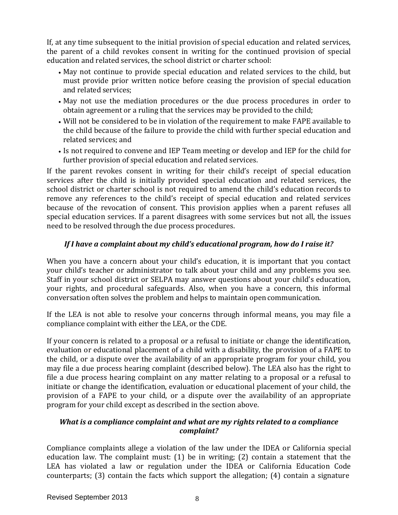If, at any time subsequent to the initial provision of special education and related services, the parent of a child revokes consent in writing for the continued provision of special education and related services, the school district or charter school:

- May not continue to provide special education and related services to the child, but must provide prior written notice before ceasing the provision of special education and related services;
- May not use the mediation procedures or the due process procedures in order to obtain agreement or a ruling that the services may be provided to the child;
- Will not be considered to be in violation of the requirement to make FAPE available to the child because of the failure to provide the child with further special education and related services; and
- Is not required to convene and IEP Team meeting or develop and IEP for the child for further provision of special education and related services.

If the parent revokes consent in writing for their child's receipt of special education services after the child is initially provided special education and related services, the school district or charter school is not required to amend the child's education records to remove any references to the child's receipt of special education and related services because of the revocation of consent. This provision applies when a parent refuses all special education services. If a parent disagrees with some services but not all, the issues need to be resolved through the due process procedures.

# *If I have a complaint about my child's educational program, how do I raise it?*

When you have a concern about your child's education, it is important that you contact your child's teacher or administrator to talk about your child and any problems you see. Staff in your school district or SELPA may answer questions about your child's education, your rights, and procedural safeguards. Also, when you have a concern, this informal conversation often solves the problem and helps to maintain open communication.

If the LEA is not able to resolve your concerns through informal means, you may file a compliance complaint with either the LEA, or the CDE.

If your concern is related to a proposal or a refusal to initiate or change the identification, evaluation or educational placement of a child with a disability, the provision of a FAPE to the child, or a dispute over the availability of an appropriate program for your child, you may file a due process hearing complaint (described below). The LEA also has the right to file a due process hearing complaint on any matter relating to a proposal or a refusal to initiate or change the identification, evaluation or educational placement of your child, the provision of a FAPE to your child, or a dispute over the availability of an appropriate program for your child except as described in the section above.

### *What is a compliance complaint and what are my rights related to a compliance complaint?*

Compliance complaints allege a violation of the law under the IDEA or California special education law. The complaint must: (1) be in writing; (2) contain a statement that the LEA has violated a law or regulation under the IDEA or California Education Code counterparts; (3) contain the facts which support the allegation; (4) contain a signature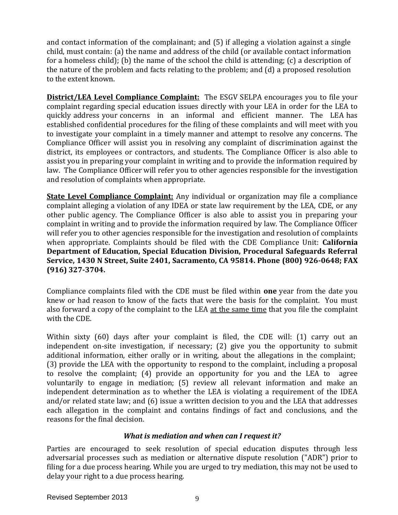and contact information of the complainant; and (5) if alleging a violation against a single child, must contain: (a) the name and address of the child (or available contact information for a homeless child); (b) the name of the school the child is attending; (c) a description of the nature of the problem and facts relating to the problem; and (d) a proposed resolution to the extent known.

**District/LEA Level Compliance Complaint:** The ESGV SELPA encourages you to file your complaint regarding special education issues directly with your LEA in order for the LEA to quickly address your concerns in an informal and efficient manner. The LEA has established confidential procedures for the filing of these complaints and will meet with you to investigate your complaint in a timely manner and attempt to resolve any concerns. The Compliance Officer will assist you in resolving any complaint of discrimination against the district, its employees or contractors, and students. The Compliance Officer is also able to assist you in preparing your complaint in writing and to provide the information required by law. The Compliance Officer will refer you to other agencies responsible for the investigation and resolution of complaints when appropriate.

**State Level Compliance Complaint:** Any individual or organization may file a compliance complaint alleging a violation of any IDEA or state law requirement by the LEA, CDE, or any other public agency. The Compliance Officer is also able to assist you in preparing your complaint in writing and to provide the information required by law. The Compliance Officer will refer you to other agencies responsible for the investigation and resolution of complaints when appropriate. Complaints should be filed with the CDE Compliance Unit: **California Department of Education, Special Education Division, Procedural Safeguards Referral Service, 1430 N Street, Suite 2401, Sacramento, CA 95814. Phone (800) 926-0648; FAX (916) 327-3704.**

Compliance complaints filed with the CDE must be filed within **one** year from the date you knew or had reason to know of the facts that were the basis for the complaint. You must also forward a copy of the complaint to the LEA at the same time that you file the complaint with the CDE.

Within sixty (60) days after your complaint is filed, the CDE will: (1) carry out an independent on-site investigation, if necessary; (2) give you the opportunity to submit additional information, either orally or in writing, about the allegations in the complaint; (3) provide the LEA with the opportunity to respond to the complaint, including a proposal to resolve the complaint; (4) provide an opportunity for you and the LEA to agree voluntarily to engage in mediation; (5) review all relevant information and make an independent determination as to whether the LEA is violating a requirement of the IDEA and/or related state law; and (6) issue a written decision to you and the LEA that addresses each allegation in the complaint and contains findings of fact and conclusions, and the reasons for the final decision.

#### *What is mediation and when can I request it?*

Parties are encouraged to seek resolution of special education disputes through less adversarial processes such as mediation or alternative dispute resolution ("ADR") prior to filing for a due process hearing. While you are urged to try mediation, this may not be used to delay your right to a due process hearing.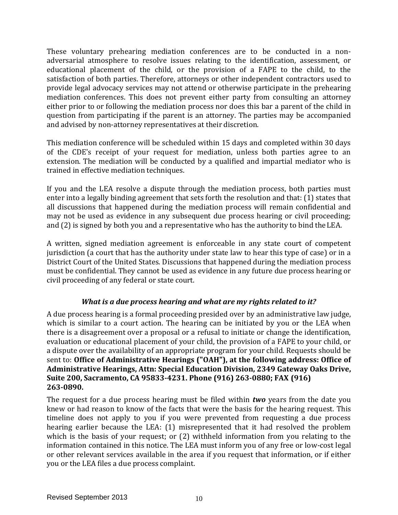These voluntary prehearing mediation conferences are to be conducted in a nonadversarial atmosphere to resolve issues relating to the identification, assessment, or educational placement of the child, or the provision of a FAPE to the child, to the satisfaction of both parties. Therefore, attorneys or other independent contractors used to provide legal advocacy services may not attend or otherwise participate in the prehearing mediation conferences. This does not prevent either party from consulting an attorney either prior to or following the mediation process nor does this bar a parent of the child in question from participating if the parent is an attorney. The parties may be accompanied and advised by non-attorney representatives at their discretion.

This mediation conference will be scheduled within 15 days and completed within 30 days of the CDE's receipt of your request for mediation, unless both parties agree to an extension. The mediation will be conducted by a qualified and impartial mediator who is trained in effective mediation techniques.

If you and the LEA resolve a dispute through the mediation process, both parties must enter into a legally binding agreement that sets forth the resolution and that: (1) states that all discussions that happened during the mediation process will remain confidential and may not be used as evidence in any subsequent due process hearing or civil proceeding; and (2) is signed by both you and a representative who has the authority to bind theLEA.

A written, signed mediation agreement is enforceable in any state court of competent jurisdiction (a court that has the authority under state law to hear this type of case) or in a District Court of the United States. Discussions that happened during the mediation process must be confidential. They cannot be used as evidence in any future due process hearing or civil proceeding of any federal or state court.

# *What is a due process hearing and what are my rights related to it?*

A due process hearing is a formal proceeding presided over by an administrative law judge, which is similar to a court action. The hearing can be initiated by you or the LEA when there is a disagreement over a proposal or a refusal to initiate or change the identification, evaluation or educational placement of your child, the provision of a FAPE to your child, or a dispute over the availability of an appropriate program for your child. Requests should be sent to: **Office of Administrative Hearings ("OAH"), at the following address: Office of Administrative Hearings, Attn: Special Education Division, 2349 Gateway Oaks Drive, Suite 200, Sacramento, CA 95833-4231. Phone (916) 263-0880; FAX (916) 263-0890.**

The request for a due process hearing must be filed within *two* years from the date you knew or had reason to know of the facts that were the basis for the hearing request. This timeline does not apply to you if you were prevented from requesting a due process hearing earlier because the LEA: (1) misrepresented that it had resolved the problem which is the basis of your request; or (2) withheld information from you relating to the information contained in this notice. The LEA must inform you of any free or low-cost legal or other relevant services available in the area if you request that information, or if either you or the LEA files a due process complaint.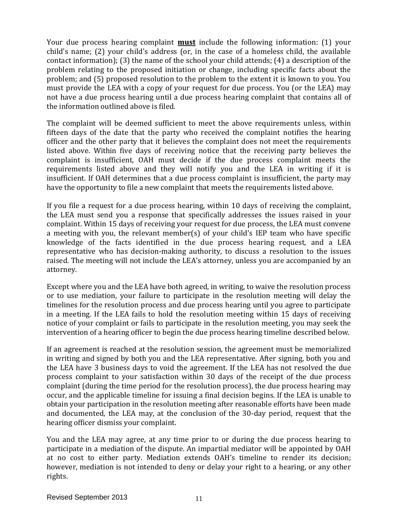Your due process hearing complaint **must** include the following information: (1) your child's name; (2) your child's address (or, in the case of a homeless child, the available contact information); (3) the name of the school your child attends; (4) a description of the problem relating to the proposed initiation or change, including specific facts about the problem; and (5) proposed resolution to the problem to the extent it is known to you. You must provide the LEA with a copy of your request for due process. You (or the LEA) may not have a due process hearing until a due process hearing complaint that contains all of the information outlined above is filed.

The complaint will be deemed sufficient to meet the above requirements unless, within fifteen days of the date that the party who received the complaint notifies the hearing officer and the other party that it believes the complaint does not meet the requirements listed above. Within five days of receiving notice that the receiving party believes the complaint is insufficient, OAH must decide if the due process complaint meets the requirements listed above and they will notify you and the LEA in writing if it is insufficient. If OAH determines that a due process complaint is insufficient, the party may have the opportunity to file a new complaint that meets the requirements listedabove.

If you file a request for a due process hearing, within 10 days of receiving the complaint, the LEA must send you a response that specifically addresses the issues raised in your complaint. Within 15 days of receiving your request for due process, the LEA must convene a meeting with you, the relevant member(s) of your child's IEP team who have specific knowledge of the facts identified in the due process hearing request, and a LEA representative who has decision-making authority, to discuss a resolution to the issues raised. The meeting will not include the LEA's attorney, unless you are accompanied by an attorney.

Except where you and the LEA have both agreed, in writing, to waive the resolution process or to use mediation, your failure to participate in the resolution meeting will delay the timelines for the resolution process and due process hearing until you agree to participate in a meeting. If the LEA fails to hold the resolution meeting within 15 days of receiving notice of your complaint or fails to participate in the resolution meeting, you may seek the intervention of a hearing officer to begin the due process hearing timeline described below.

If an agreement is reached at the resolution session, the agreement must be memorialized in writing and signed by both you and the LEA representative. After signing, both you and the LEA have 3 business days to void the agreement. If the LEA has not resolved the due process complaint to your satisfaction within 30 days of the receipt of the due process complaint (during the time period for the resolution process), the due process hearing may occur, and the applicable timeline for issuing a final decision begins. If the LEA is unable to obtain your participation in the resolution meeting after reasonable efforts have been made and documented, the LEA may, at the conclusion of the 30-day period, request that the hearing officer dismiss your complaint.

You and the LEA may agree, at any time prior to or during the due process hearing to participate in a mediation of the dispute. An impartial mediator will be appointed by OAH at no cost to either party. Mediation extends OAH's timeline to render its decision; however, mediation is not intended to deny or delay your right to a hearing, or any other rights.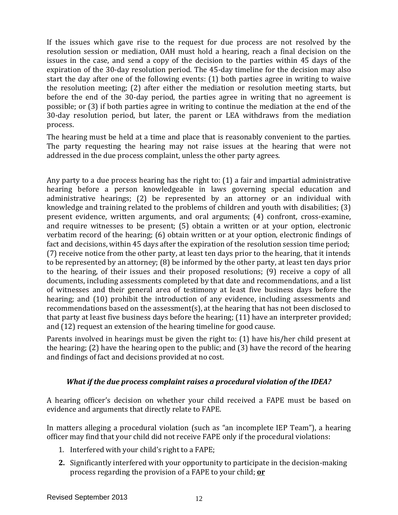If the issues which gave rise to the request for due process are not resolved by the resolution session or mediation, OAH must hold a hearing, reach a final decision on the issues in the case, and send a copy of the decision to the parties within 45 days of the expiration of the 30-day resolution period. The 45-day timeline for the decision may also start the day after one of the following events: (1) both parties agree in writing to waive the resolution meeting; (2) after either the mediation or resolution meeting starts, but before the end of the 30-day period, the parties agree in writing that no agreement is possible; or (3) if both parties agree in writing to continue the mediation at the end of the 30-day resolution period, but later, the parent or LEA withdraws from the mediation process.

The hearing must be held at a time and place that is reasonably convenient to the parties. The party requesting the hearing may not raise issues at the hearing that were not addressed in the due process complaint, unless the other party agrees.

Any party to a due process hearing has the right to: (1) a fair and impartial administrative hearing before a person knowledgeable in laws governing special education and administrative hearings; (2) be represented by an attorney or an individual with knowledge and training related to the problems of children and youth with disabilities; (3) present evidence, written arguments, and oral arguments; (4) confront, cross-examine, and require witnesses to be present; (5) obtain a written or at your option, electronic verbatim record of the hearing; (6) obtain written or at your option, electronic findings of fact and decisions, within 45 days after the expiration of the resolution session time period; (7) receive notice from the other party, at least ten days prior to the hearing, that it intends to be represented by an attorney; (8) be informed by the other party, at least ten days prior to the hearing, of their issues and their proposed resolutions; (9) receive a copy of all documents, including assessments completed by that date and recommendations, and a list of witnesses and their general area of testimony at least five business days before the hearing; and (10) prohibit the introduction of any evidence, including assessments and recommendations based on the assessment(s), at the hearing that has not been disclosed to that party at least five business days before the hearing; (11) have an interpreter provided; and (12) request an extension of the hearing timeline for good cause.

Parents involved in hearings must be given the right to: (1) have his/her child present at the hearing; (2) have the hearing open to the public; and (3) have the record of the hearing and findings of fact and decisions provided at no cost.

# *What if the due process complaint raises a procedural violation of the IDEA?*

A hearing officer's decision on whether your child received a FAPE must be based on evidence and arguments that directly relate to FAPE.

In matters alleging a procedural violation (such as "an incomplete IEP Team"), a hearing officer may find that your child did not receive FAPE only if the procedural violations:

- 1. Interfered with your child's right to a FAPE;
- **2.** Significantly interfered with your opportunity to participate in the decision-making process regarding the provision of a FAPE to your child; **or**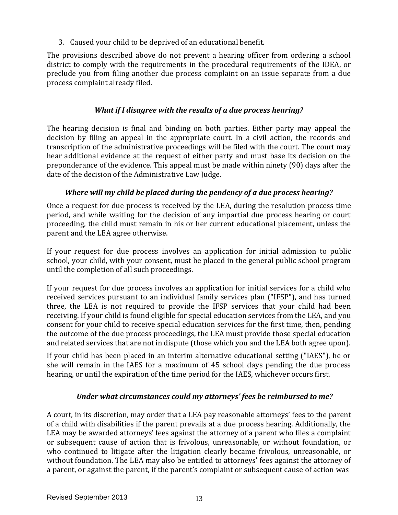3. Caused your child to be deprived of an educational benefit.

The provisions described above do not prevent a hearing officer from ordering a school district to comply with the requirements in the procedural requirements of the IDEA, or preclude you from filing another due process complaint on an issue separate from a due process complaint already filed.

### *What if I disagree with the results of a due process hearing?*

The hearing decision is final and binding on both parties. Either party may appeal the decision by filing an appeal in the appropriate court. In a civil action, the records and transcription of the administrative proceedings will be filed with the court. The court may hear additional evidence at the request of either party and must base its decision on the preponderance of the evidence. This appeal must be made within ninety (90) days after the date of the decision of the Administrative Law Judge.

# *Where will my child be placed during the pendency of a due process hearing?*

Once a request for due process is received by the LEA, during the resolution process time period, and while waiting for the decision of any impartial due process hearing or court proceeding, the child must remain in his or her current educational placement, unless the parent and the LEA agree otherwise.

If your request for due process involves an application for initial admission to public school, your child, with your consent, must be placed in the general public school program until the completion of all such proceedings.

If your request for due process involves an application for initial services for a child who received services pursuant to an individual family services plan ("IFSP"), and has turned three, the LEA is not required to provide the IFSP services that your child had been receiving. If your child is found eligible for special education services from the LEA, and you consent for your child to receive special education services for the first time, then, pending the outcome of the due process proceedings, the LEA must provide those special education and related services that are not in dispute (those which you and the LEA both agree upon).

If your child has been placed in an interim alternative educational setting ("IAES"), he or she will remain in the IAES for a maximum of 45 school days pending the due process hearing, or until the expiration of the time period for the IAES, whichever occurs first.

#### *Under what circumstances could my attorneys' fees be reimbursed to me?*

A court, in its discretion, may order that a LEA pay reasonable attorneys' fees to the parent of a child with disabilities if the parent prevails at a due process hearing. Additionally, the LEA may be awarded attorneys' fees against the attorney of a parent who files a complaint or subsequent cause of action that is frivolous, unreasonable, or without foundation, or who continued to litigate after the litigation clearly became frivolous, unreasonable, or without foundation. The LEA may also be entitled to attorneys' fees against the attorney of a parent, or against the parent, if the parent's complaint or subsequent cause of action was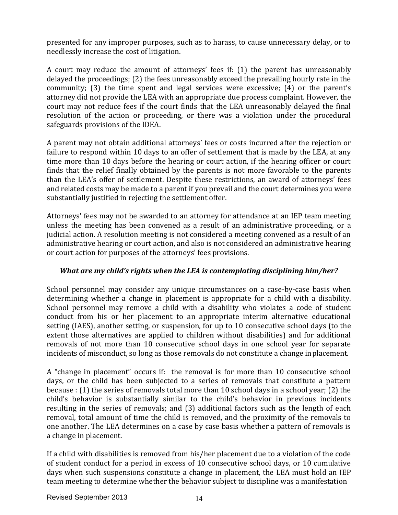presented for any improper purposes, such as to harass, to cause unnecessary delay, or to needlessly increase the cost of litigation.

A court may reduce the amount of attorneys' fees if: (1) the parent has unreasonably delayed the proceedings; (2) the fees unreasonably exceed the prevailing hourly rate in the community; (3) the time spent and legal services were excessive; (4) or the parent's attorney did not provide the LEA with an appropriate due process complaint. However, the court may not reduce fees if the court finds that the LEA unreasonably delayed the final resolution of the action or proceeding, or there was a violation under the procedural safeguards provisions of the IDEA.

A parent may not obtain additional attorneys' fees or costs incurred after the rejection or failure to respond within 10 days to an offer of settlement that is made by the LEA, at any time more than 10 days before the hearing or court action, if the hearing officer or court finds that the relief finally obtained by the parents is not more favorable to the parents than the LEA's offer of settlement. Despite these restrictions, an award of attorneys' fees and related costs may be made to a parent if you prevail and the court determines you were substantially justified in rejecting the settlement offer.

Attorneys' fees may not be awarded to an attorney for attendance at an IEP team meeting unless the meeting has been convened as a result of an administrative proceeding, or a judicial action. A resolution meeting is not considered a meeting convened as a result of an administrative hearing or court action, and also is not considered an administrative hearing or court action for purposes of the attorneys' fees provisions.

# *What are my child's rights when the LEA is contemplating disciplining him/her?*

School personnel may consider any unique circumstances on a case-by-case basis when determining whether a change in placement is appropriate for a child with a disability. School personnel may remove a child with a disability who violates a code of student conduct from his or her placement to an appropriate interim alternative educational setting (IAES), another setting, or suspension, for up to 10 consecutive school days (to the extent those alternatives are applied to children without disabilities) and for additional removals of not more than 10 consecutive school days in one school year for separate incidents of misconduct, so long as those removals do not constitute a change inplacement.

A "change in placement" occurs if: the removal is for more than 10 consecutive school days, or the child has been subjected to a series of removals that constitute a pattern because : (1) the series of removals total more than 10 school days in a school year; (2) the child's behavior is substantially similar to the child's behavior in previous incidents resulting in the series of removals; and (3) additional factors such as the length of each removal, total amount of time the child is removed, and the proximity of the removals to one another. The LEA determines on a case by case basis whether a pattern of removals is a change in placement.

If a child with disabilities is removed from his/her placement due to a violation of the code of student conduct for a period in excess of 10 consecutive school days, or 10 cumulative days when such suspensions constitute a change in placement, the LEA must hold an IEP team meeting to determine whether the behavior subject to discipline was a manifestation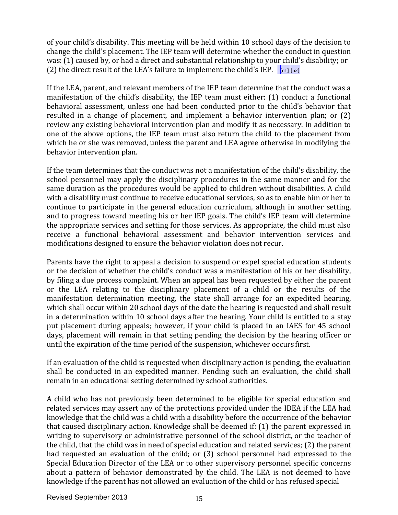of your child's disability. This meeting will be held within 10 school days of the decision to change the child's placement. The IEP team will determine whether the conduct in question was: (1) caused by, or had a direct and substantial relationship to your child's disability; or (2) the direct result of the LEA's failure to implement the child's IEP.  $\int_{\text{[n1]} [\text{m2}]}$ 

If the LEA, parent, and relevant members of the IEP team determine that the conduct was a manifestation of the child's disability, the IEP team must either: (1) conduct a functional behavioral assessment, unless one had been conducted prior to the child's behavior that resulted in a change of placement, and implement a behavior intervention plan; or (2) review any existing behavioral intervention plan and modify it as necessary. In addition to one of the above options, the IEP team must also return the child to the placement from which he or she was removed, unless the parent and LEA agree otherwise in modifying the behavior intervention plan.

If the team determines that the conduct was not a manifestation of the child's disability, the school personnel may apply the disciplinary procedures in the same manner and for the same duration as the procedures would be applied to children without disabilities. A child with a disability must continue to receive educational services, so as to enable him or her to continue to participate in the general education curriculum, although in another setting, and to progress toward meeting his or her IEP goals. The child's IEP team will determine the appropriate services and setting for those services. As appropriate, the child must also receive a functional behavioral assessment and behavior intervention services and modifications designed to ensure the behavior violation does not recur.

Parents have the right to appeal a decision to suspend or expel special education students or the decision of whether the child's conduct was a manifestation of his or her disability, by filing a due process complaint. When an appeal has been requested by either the parent or the LEA relating to the disciplinary placement of a child or the results of the manifestation determination meeting, the state shall arrange for an expedited hearing, which shall occur within 20 school days of the date the hearing is requested and shall result in a determination within 10 school days after the hearing. Your child is entitled to a stay put placement during appeals; however, if your child is placed in an IAES for 45 school days, placement will remain in that setting pending the decision by the hearing officer or until the expiration of the time period of the suspension, whichever occurs first.

If an evaluation of the child is requested when disciplinary action is pending, the evaluation shall be conducted in an expedited manner. Pending such an evaluation, the child shall remain in an educational setting determined by school authorities.

A child who has not previously been determined to be eligible for special education and related services may assert any of the protections provided under the IDEA if the LEA had knowledge that the child was a child with a disability before the occurrence of the behavior that caused disciplinary action. Knowledge shall be deemed if: (1) the parent expressed in writing to supervisory or administrative personnel of the school district, or the teacher of the child, that the child was in need of special education and related services; (2) the parent had requested an evaluation of the child; or (3) school personnel had expressed to the Special Education Director of the LEA or to other supervisory personnel specific concerns about a pattern of behavior demonstrated by the child. The LEA is not deemed to have knowledge if the parent has not allowed an evaluation of the child or has refused special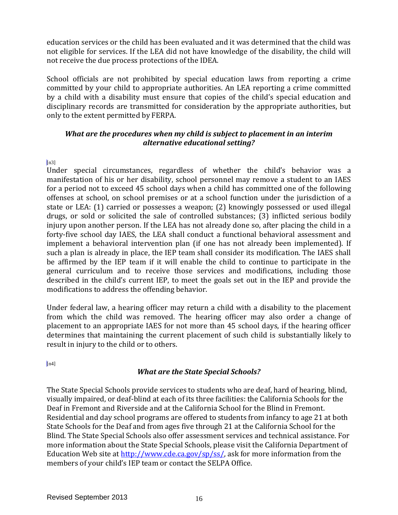education services or the child has been evaluated and it was determined that the child was not eligible for services. If the LEA did not have knowledge of the disability, the child will not receive the due process protections of the IDEA.

School officials are not prohibited by special education laws from reporting a crime committed by your child to appropriate authorities. An LEA reporting a crime committed by a child with a disability must ensure that copies of the child's special education and disciplinary records are transmitted for consideration by the appropriate authorities, but only to the extent permitted by FERPA.

#### *What are the procedures when my child is subject to placement in an interim alternative educational setting?*

 $[n3]$ 

Under special circumstances, regardless of whether the child's behavior was a manifestation of his or her disability, school personnel may remove a student to an IAES for a period not to exceed 45 school days when a child has committed one of the following offenses at school, on school premises or at a school function under the jurisdiction of a state or LEA: (1) carried or possesses a weapon; (2) knowingly possessed or used illegal drugs, or sold or solicited the sale of controlled substances; (3) inflicted serious bodily injury upon another person. If the LEA has not already done so, after placing the child in a forty-five school day IAES, the LEA shall conduct a functional behavioral assessment and implement a behavioral intervention plan (if one has not already been implemented). If such a plan is already in place, the IEP team shall consider its modification. The IAES shall be affirmed by the IEP team if it will enable the child to continue to participate in the general curriculum and to receive those services and modifications, including those described in the child's current IEP, to meet the goals set out in the IEP and provide the modifications to address the offending behavior.

Under federal law, a hearing officer may return a child with a disability to the placement from which the child was removed. The hearing officer may also order a change of placement to an appropriate IAES for not more than 45 school days, if the hearing officer determines that maintaining the current placement of such child is substantially likely to result in injury to the child or to others.

 $[n4]$ 

# *What are the State Special Schools?*

The State Special Schools provide services to students who are deaf, hard of hearing, blind, visually impaired, or deaf-blind at each of its three facilities: the California Schools for the Deaf in Fremont and Riverside and at the California School for the Blind in Fremont. Residential and day school programs are offered to students from infancy to age 21 at both State Schools for the Deaf and from ages five through 21 at the California School for the Blind. The State Special Schools also offer assessment services and technical assistance. For more information about the State Special Schools, please visit the California Department of Education Web site at [http://www.cde.ca.gov/sp/ss/, a](http://www.cde.ca.gov/sp/ss/)sk for more information from the members of your child's IEP team or contact the SELPA Office.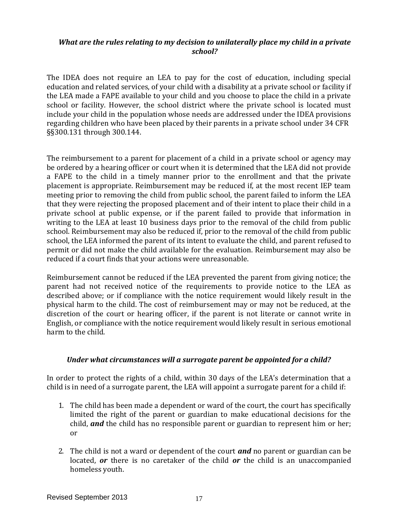#### *What are the rules relating to my decision to unilaterally place my child in a private school?*

The IDEA does not require an LEA to pay for the cost of education, including special education and related services, of your child with a disability at a private school or facility if the LEA made a FAPE available to your child and you choose to place the child in a private school or facility. However, the school district where the private school is located must include your child in the population whose needs are addressed under the IDEA provisions regarding children who have been placed by their parents in a private school under 34 CFR §§300.131 through 300.144.

The reimbursement to a parent for placement of a child in a private school or agency may be ordered by a hearing officer or court when it is determined that the LEA did not provide a FAPE to the child in a timely manner prior to the enrollment and that the private placement is appropriate. Reimbursement may be reduced if, at the most recent IEP team meeting prior to removing the child from public school, the parent failed to inform the LEA that they were rejecting the proposed placement and of their intent to place their child in a private school at public expense, or if the parent failed to provide that information in writing to the LEA at least 10 business days prior to the removal of the child from public school. Reimbursement may also be reduced if, prior to the removal of the child from public school, the LEA informed the parent of its intent to evaluate the child, and parent refused to permit or did not make the child available for the evaluation. Reimbursement may also be reduced if a court finds that your actions were unreasonable.

Reimbursement cannot be reduced if the LEA prevented the parent from giving notice; the parent had not received notice of the requirements to provide notice to the LEA as described above; or if compliance with the notice requirement would likely result in the physical harm to the child. The cost of reimbursement may or may not be reduced, at the discretion of the court or hearing officer, if the parent is not literate or cannot write in English, or compliance with the notice requirement would likely result in serious emotional harm to the child.

#### *Under what circumstances will a surrogate parent be appointed for a child?*

In order to protect the rights of a child, within 30 days of the LEA's determination that a child is in need of a surrogate parent, the LEA will appoint a surrogate parent for a child if:

- 1. The child has been made a dependent or ward of the court, the court has specifically limited the right of the parent or guardian to make educational decisions for the child, *and* the child has no responsible parent or guardian to represent him or her; or
- 2. The child is not a ward or dependent of the court *and* no parent or guardian can be located, *or* there is no caretaker of the child *or* the child is an unaccompanied homeless youth.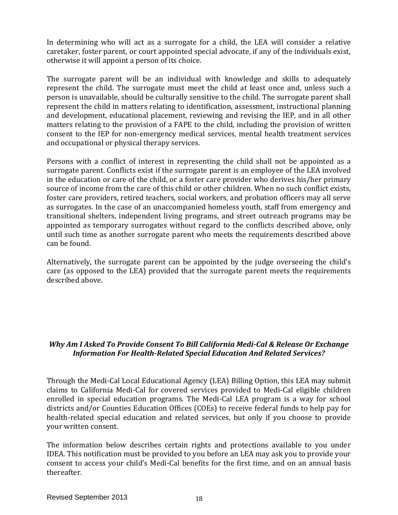In determining who will act as a surrogate for a child, the LEA will consider a relative caretaker, foster parent, or court appointed special advocate, if any of the individuals exist, otherwise it will appoint a person of its choice.

The surrogate parent will be an individual with knowledge and skills to adequately represent the child. The surrogate must meet the child at least once and, unless such a person is unavailable, should be culturally sensitive to the child. The surrogate parent shall represent the child in matters relating to identification, assessment, instructional planning and development, educational placement, reviewing and revising the IEP, and in all other matters relating to the provision of a FAPE to the child, including the provision of written consent to the IEP for non-emergency medical services, mental health treatment services and occupational or physical therapy services.

Persons with a conflict of interest in representing the child shall not be appointed as a surrogate parent. Conflicts exist if the surrogate parent is an employee of the LEA involved in the education or care of the child, or a foster care provider who derives his/her primary source of income from the care of this child or other children. When no such conflict exists, foster care providers, retired teachers, social workers, and probation officers may all serve as surrogates. In the case of an unaccompanied homeless youth, staff from emergency and transitional shelters, independent living programs, and street outreach programs may be appointed as temporary surrogates without regard to the conflicts described above, only until such time as another surrogate parent who meets the requirements described above can be found.

Alternatively, the surrogate parent can be appointed by the judge overseeing the child's care (as opposed to the LEA) provided that the surrogate parent meets the requirements described above.

# *Why Am I Asked To Provide Consent To Bill California Medi-Cal & Release Or Exchange Information For Health-Related Special Education And Related Services?*

Through the Medi-Cal Local Educational Agency (LEA) Billing Option, this LEA may submit claims to California Medi-Cal for covered services provided to Medi-Cal eligible children enrolled in special education programs. The Medi-Cal LEA program is a way for school districts and/or Counties Education Offices (COEs) to receive federal funds to help pay for health-related special education and related services, but only if you choose to provide your written consent.

The information below describes certain rights and protections available to you under IDEA. This notification must be provided to you before an LEA may ask you to provide your consent to access your child's Medi-Cal benefits for the first time, and on an annual basis thereafter.